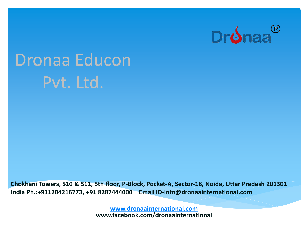

# Dronaa Educon Pvt. Ltd.

**Chokhani Towers, 510 & 511, 5th floor, P-Block, Pocket-A, Sector-18, Noida, Uttar Pradesh 201301 India Ph.:+911204216773, +91 8287444000 Email ID-info@dronaainternational.com**

> **[www.dronaainternational.com](http://www.dronaainternational.com/) www.facebook.com/dronaainternational** <sup>1</sup>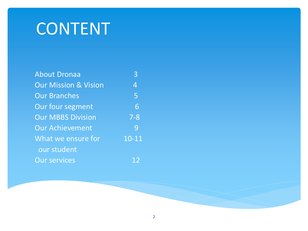# CONTENT

| <b>About Dronaa</b>             | 3              |
|---------------------------------|----------------|
| <b>Our Mission &amp; Vision</b> | $\overline{4}$ |
| <b>Our Branches</b>             | 5              |
| Our four segment                | 6              |
| <b>Our MBBS Division</b>        | $7 - 8$        |
| <b>Our Achievement</b>          | 9              |
| What we ensure for              | $10 - 11$      |
| our student                     |                |
| <b>Our services</b>             | 12             |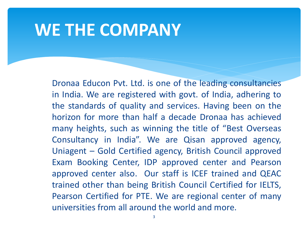#### **WE THE COMPANY**

Dronaa Educon Pvt. Ltd. is one of the leading consultancies in India. We are registered with govt. of India, adhering to the standards of quality and services. Having been on the horizon for more than half a decade Dronaa has achieved many heights, such as winning the title of "Best Overseas Consultancy in India". We are Qisan approved agency, Uniagent – Gold Certified agency, British Council approved Exam Booking Center, IDP approved center and Pearson approved center also. Our staff is ICEF trained and QEAC trained other than being British Council Certified for IELTS, Pearson Certified for PTE. We are regional center of many universities from all around the world and more.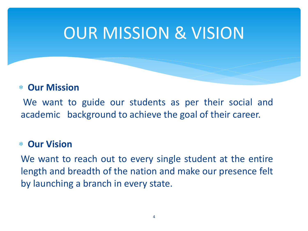# OUR MISSION & VISION

#### **Our Mission**

We want to guide our students as per their social and academic background to achieve the goal of their career.

#### **Our Vision**

We want to reach out to every single student at the entire length and breadth of the nation and make our presence felt by launching a branch in every state.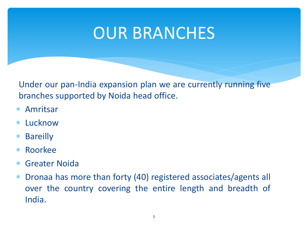## OUR BRANCHES

Under our pan-India expansion plan we are currently running five branches supported by Noida head office.

- Amritsar
- Lucknow
- Bareilly
- Roorkee
- Greater Noida
- Dronaa has more than forty (40) registered associates/agents all over the country covering the entire length and breadth of India.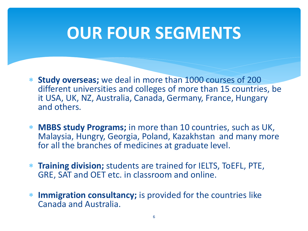# **OUR FOUR SEGMENTS**

- **Study overseas;** we deal in more than 1000 courses of 200 different universities and colleges of more than 15 countries, be it USA, UK, NZ, Australia, Canada, Germany, France, Hungary and others.
- **MBBS study Programs;** in more than 10 countries, such as UK, Malaysia, Hungry, Georgia, Poland, Kazakhstan and many more for all the branches of medicines at graduate level.
- **Training division;** students are trained for IELTS, ToEFL, PTE, GRE, SAT and OET etc. in classroom and online.
- **Immigration consultancy;** is provided for the countries like Canada and Australia.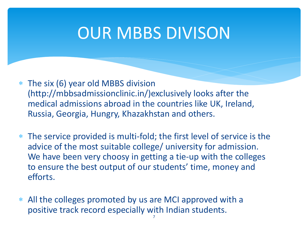### OUR MBBS DIVISON

- The six (6) year old MBBS division (http://mbbsadmissionclinic.in/)exclusively looks after the medical admissions abroad in the countries like UK, Ireland, Russia, Georgia, Hungry, Khazakhstan and others.
- The service provided is multi-fold; the first level of service is the advice of the most suitable college/ university for admission. We have been very choosy in getting a tie-up with the colleges to ensure the best output of our students' time, money and efforts.
- All the colleges promoted by us are MCI approved with a positive track record especially with Indian students.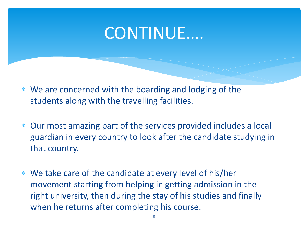### CONTINUE….

- We are concerned with the boarding and lodging of the students along with the travelling facilities.
- Our most amazing part of the services provided includes a local guardian in every country to look after the candidate studying in that country.
- We take care of the candidate at every level of his/her movement starting from helping in getting admission in the right university, then during the stay of his studies and finally when he returns after completing his course.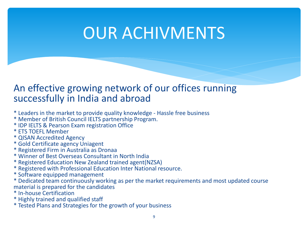## OUR ACHIVMENTS

#### An effective growing network of our offices running successfully in India and abroad

- \* Leaders in the market to provide quality knowledge Hassle free business
- \* Member of British Council IELTS partnership Program.
- \* IDP IELTS & Pearson Exam registration Office
- \* ETS TOEFL Member
- \* QISAN Accredited Agency
- \* Gold Certificate agency Uniagent
- \* Registered Firm in Australia as Dronaa
- \* Winner of Best Overseas Consultant in North India
- \* Registered Education New Zealand trained agent(NZSA)
- \* Registered with Professional Education Inter National resource.
- \* Software equipped management
- \* Dedicated team continuously working as per the market requirements and most updated course material is prepared for the candidates
- \* In-house Certification
- \* Highly trained and qualified staff
- \* Tested Plans and Strategies for the growth of your business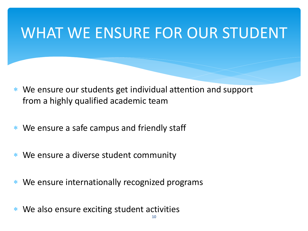### WHAT WE ENSURE FOR OUR STUDENT

- We ensure our students get individual attention and support from a highly qualified academic team
- \* We ensure a safe campus and friendly staff
- \* We ensure a diverse student community
- We ensure internationally recognized programs
- We also ensure exciting student activities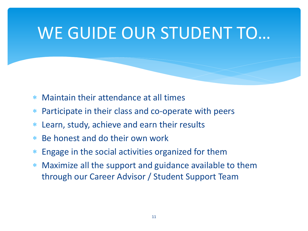# WE GUIDE OUR STUDENT TO…

- Maintain their attendance at all times
- Participate in their class and co-operate with peers
- Learn, study, achieve and earn their results
- Be honest and do their own work
- Engage in the social activities organized for them
- Maximize all the support and guidance available to them through our Career Advisor / Student Support Team